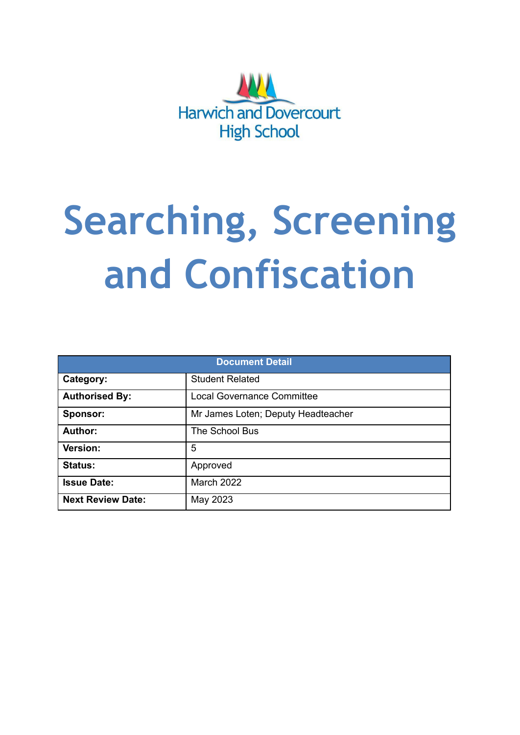

# **Searching, Screening and Confiscation**

| <b>Document Detail</b>   |                                    |  |  |  |
|--------------------------|------------------------------------|--|--|--|
| Category:                | <b>Student Related</b>             |  |  |  |
| <b>Authorised By:</b>    | <b>Local Governance Committee</b>  |  |  |  |
| Sponsor:                 | Mr James Loten; Deputy Headteacher |  |  |  |
| Author:                  | The School Bus                     |  |  |  |
| <b>Version:</b>          | 5                                  |  |  |  |
| <b>Status:</b>           | Approved                           |  |  |  |
| <b>Issue Date:</b>       | March 2022                         |  |  |  |
| <b>Next Review Date:</b> | May 2023                           |  |  |  |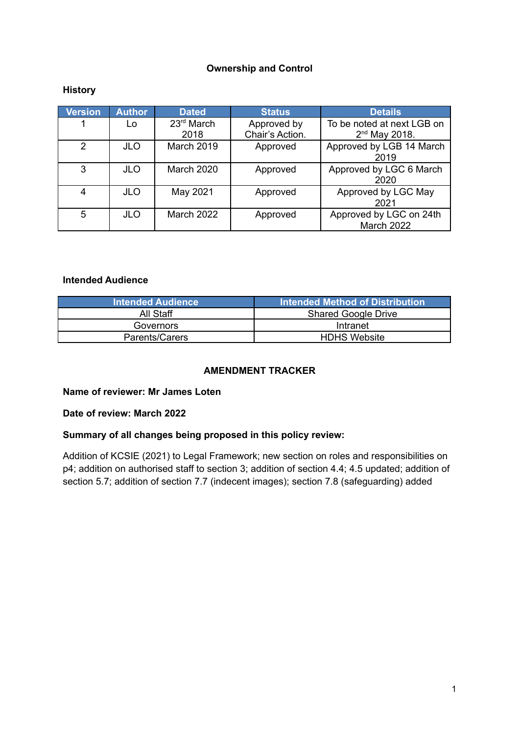## **Ownership and Control**

## **History**

| <b>Version</b> | <b>Author</b> | <b>Dated</b>       | <b>Status</b>                  | <b>Details</b>                                |
|----------------|---------------|--------------------|--------------------------------|-----------------------------------------------|
|                | Lo            | 23rd March<br>2018 | Approved by<br>Chair's Action. | To be noted at next LGB on<br>$2nd$ May 2018. |
|                |               |                    |                                |                                               |
| 2              | <b>JLO</b>    | March 2019         | Approved                       | Approved by LGB 14 March<br>2019              |
| 3              | <b>JLO</b>    | <b>March 2020</b>  | Approved                       | Approved by LGC 6 March<br>2020               |
| 4              | <b>JLO</b>    | May 2021           | Approved                       | Approved by LGC May<br>2021                   |
| 5              | <b>JLO</b>    | March 2022         | Approved                       | Approved by LGC on 24th<br>March 2022         |

#### **Intended Audience**

| <b>Intended Audience</b> | Intended Method of Distribution |
|--------------------------|---------------------------------|
| All Staff                | <b>Shared Google Drive</b>      |
| Governors                | Intranet                        |
| Parents/Carers           | <b>HDHS Website</b>             |

## **AMENDMENT TRACKER**

#### **Name of reviewer: Mr James Loten**

#### **Date of review: March 2022**

#### **Summary of all changes being proposed in this policy review:**

Addition of KCSIE (2021) to Legal Framework; new section on roles and responsibilities on p4; addition on authorised staff to section 3; addition of section 4.4; 4.5 updated; addition of section 5.7; addition of section 7.7 (indecent images); section 7.8 (safeguarding) added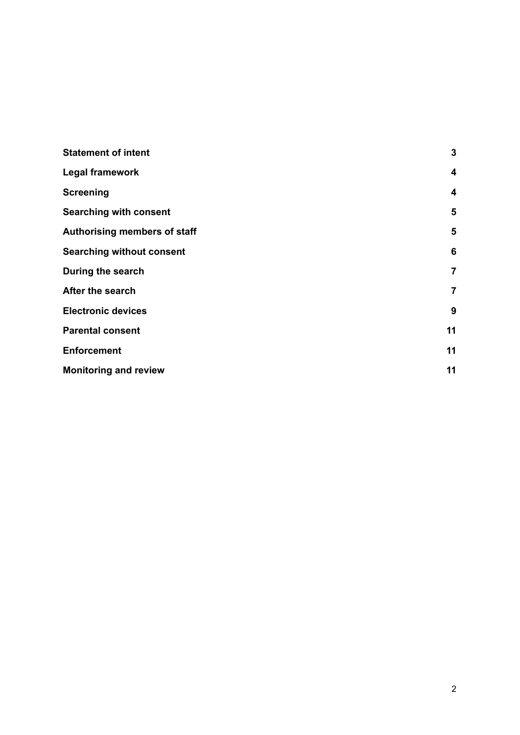| <b>Statement of intent</b>       | $\mathbf{3}$    |
|----------------------------------|-----------------|
| <b>Legal framework</b>           | 4               |
| <b>Screening</b>                 | 4               |
| <b>Searching with consent</b>    | 5               |
| Authorising members of staff     | 5               |
| <b>Searching without consent</b> | $6\phantom{1}6$ |
| During the search                | $\overline{7}$  |
| After the search                 | 7               |
| <b>Electronic devices</b>        | 9               |
| <b>Parental consent</b>          | 11              |
| <b>Enforcement</b>               | 11              |
| <b>Monitoring and review</b>     | 11              |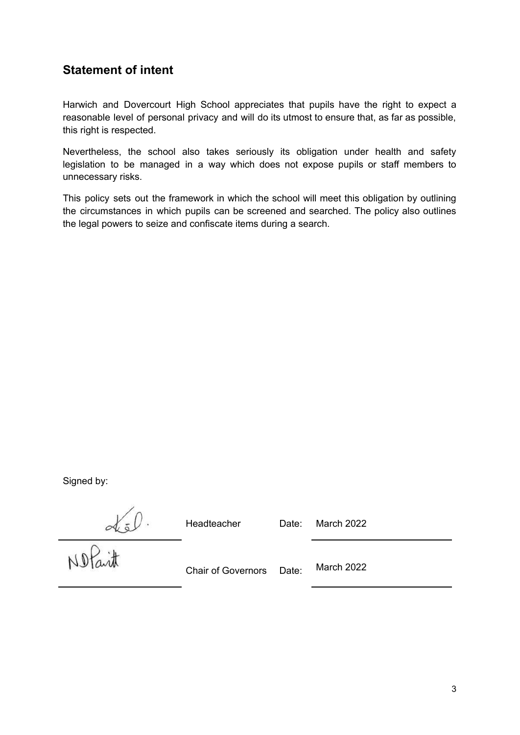# <span id="page-3-0"></span>**Statement of intent**

Harwich and Dovercourt High School appreciates that pupils have the right to expect a reasonable level of personal privacy and will do its utmost to ensure that, as far as possible, this right is respected.

Nevertheless, the school also takes seriously its obligation under health and safety legislation to be managed in a way which does not expose pupils or staff members to unnecessary risks.

This policy sets out the framework in which the school will meet this obligation by outlining the circumstances in which pupils can be screened and searched. The policy also outlines the legal powers to seize and confiscate items during a search.

Signed by:

Headteacher Date: March 2022

No Part .

Chair of Governors Date: March 2022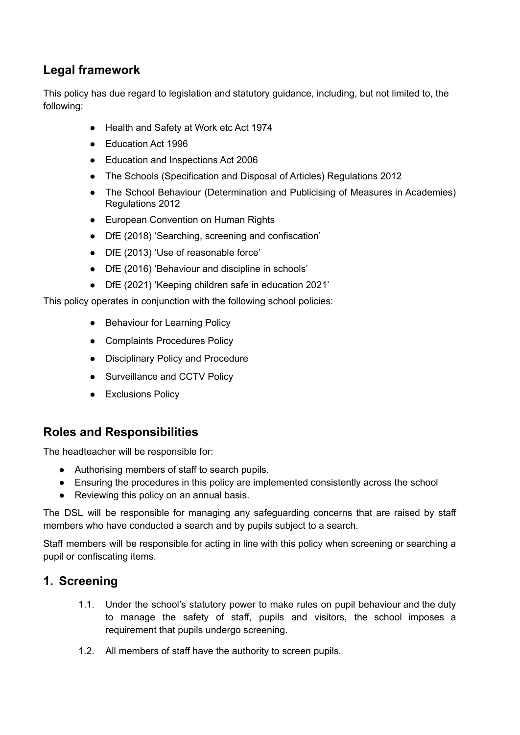# <span id="page-4-0"></span>**Legal framework**

This policy has due regard to legislation and statutory guidance, including, but not limited to, the following:

- Health and Safety at Work etc Act 1974
- Education Act 1996
- Education and Inspections Act 2006
- The Schools (Specification and Disposal of Articles) Regulations 2012
- The School Behaviour (Determination and Publicising of Measures in Academies) Regulations 2012
- European Convention on Human Rights
- DfE (2018) 'Searching, screening and confiscation'
- DfE (2013) 'Use of reasonable force'
- DfE (2016) 'Behaviour and discipline in schools'
- DfE (2021) 'Keeping children safe in education 2021'

This policy operates in conjunction with the following school policies:

- Behaviour for Learning Policy
- Complaints Procedures Policy
- Disciplinary Policy and Procedure
- Surveillance and CCTV Policy
- Exclusions Policy

# **Roles and Responsibilities**

The headteacher will be responsible for:

- Authorising members of staff to search pupils.
- Ensuring the procedures in this policy are implemented consistently across the school
- Reviewing this policy on an annual basis.

The DSL will be responsible for managing any safeguarding concerns that are raised by staff members who have conducted a search and by pupils subject to a search.

Staff members will be responsible for acting in line with this policy when screening or searching a pupil or confiscating items.

# <span id="page-4-1"></span>**1. Screening**

- 1.1. Under the school's statutory power to make rules on pupil behaviour and the duty to manage the safety of staff, pupils and visitors, the school imposes a requirement that pupils undergo screening.
- 1.2. All members of staff have the authority to screen pupils.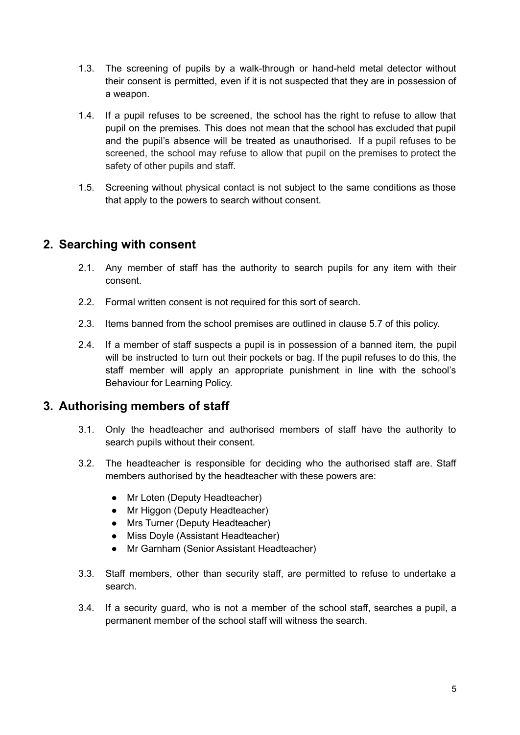- 1.3. The screening of pupils by a walk-through or hand-held metal detector without their consent is permitted, even if it is not suspected that they are in possession of a weapon.
- 1.4. If a pupil refuses to be screened, the school has the right to refuse to allow that pupil on the premises. This does not mean that the school has excluded that pupil and the pupil's absence will be treated as unauthorised. If a pupil refuses to be screened, the school may refuse to allow that pupil on the premises to protect the safety of other pupils and staff.
- 1.5. Screening without physical contact is not subject to the same conditions as those that apply to the powers to search without consent.

# <span id="page-5-0"></span>**2. Searching with consent**

- 2.1. Any member of staff has the authority to search pupils for any item with their consent.
- 2.2. Formal written consent is not required for this sort of search.
- 2.3. Items banned from the school premises are outlined in clause 5.7 of this policy.
- 2.4. If a member of staff suspects a pupil is in possession of a banned item, the pupil will be instructed to turn out their pockets or bag. If the pupil refuses to do this, the staff member will apply an appropriate punishment in line with the school's Behaviour for Learning Policy.

## <span id="page-5-1"></span>**3. Authorising members of staff**

- 3.1. Only the headteacher and authorised members of staff have the authority to search pupils without their consent.
- 3.2. The headteacher is responsible for deciding who the authorised staff are. Staff members authorised by the headteacher with these powers are:
	- Mr Loten (Deputy Headteacher)
	- Mr Higgon (Deputy Headteacher)
	- Mrs Turner (Deputy Headteacher)
	- Miss Doyle (Assistant Headteacher)
	- Mr Garnham (Senior Assistant Headteacher)
- 3.3. Staff members, other than security staff, are permitted to refuse to undertake a search.
- 3.4. If a security guard, who is not a member of the school staff, searches a pupil, a permanent member of the school staff will witness the search.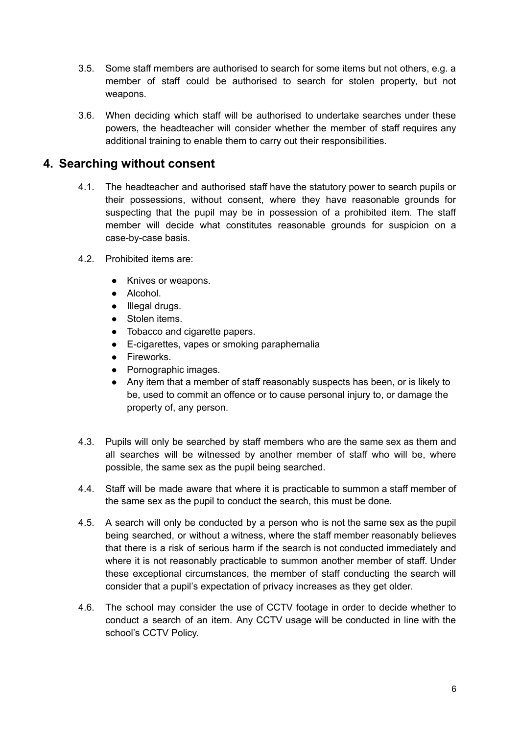- 3.5. Some staff members are authorised to search for some items but not others, e.g. a member of staff could be authorised to search for stolen property, but not weapons.
- 3.6. When deciding which staff will be authorised to undertake searches under these powers, the headteacher will consider whether the member of staff requires any additional training to enable them to carry out their responsibilities.

## <span id="page-6-0"></span>**4. Searching without consent**

- 4.1. The headteacher and authorised staff have the statutory power to search pupils or their possessions, without consent, where they have reasonable grounds for suspecting that the pupil may be in possession of a prohibited item. The staff member will decide what constitutes reasonable grounds for suspicion on a case-by-case basis.
- 4.2. Prohibited items are:
	- Knives or weapons.
	- Alcohol.
	- Illegal drugs.
	- Stolen items.
	- Tobacco and cigarette papers.
	- E-cigarettes, vapes or smoking paraphernalia
	- Fireworks.
	- Pornographic images.
	- Any item that a member of staff reasonably suspects has been, or is likely to be, used to commit an offence or to cause personal injury to, or damage the property of, any person.
- 4.3. Pupils will only be searched by staff members who are the same sex as them and all searches will be witnessed by another member of staff who will be, where possible, the same sex as the pupil being searched.
- 4.4. Staff will be made aware that where it is practicable to summon a staff member of the same sex as the pupil to conduct the search, this must be done.
- 4.5. A search will only be conducted by a person who is not the same sex as the pupil being searched, or without a witness, where the staff member reasonably believes that there is a risk of serious harm if the search is not conducted immediately and where it is not reasonably practicable to summon another member of staff. Under these exceptional circumstances, the member of staff conducting the search will consider that a pupil's expectation of privacy increases as they get older.
- 4.6. The school may consider the use of CCTV footage in order to decide whether to conduct a search of an item. Any CCTV usage will be conducted in line with the school's CCTV Policy.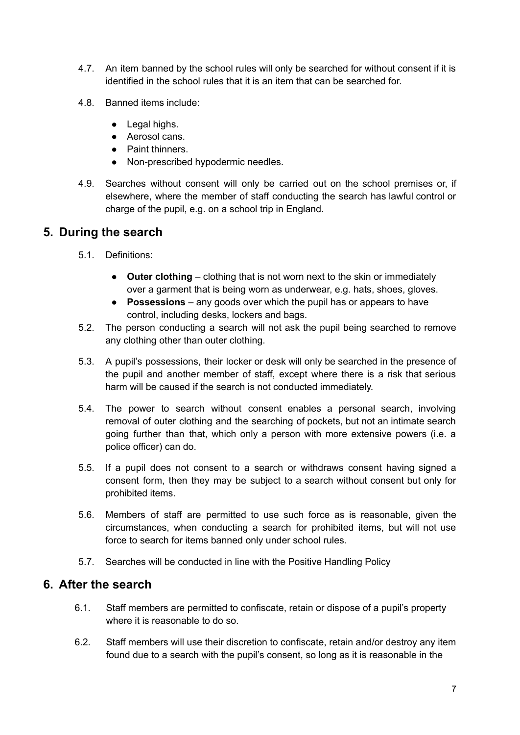- 4.7. An item banned by the school rules will only be searched for without consent if it is identified in the school rules that it is an item that can be searched for.
- 4.8. Banned items include:
	- Legal highs.
	- Aerosol cans.
	- Paint thinners.
	- Non-prescribed hypodermic needles.
- 4.9. Searches without consent will only be carried out on the school premises or, if elsewhere, where the member of staff conducting the search has lawful control or charge of the pupil, e.g. on a school trip in England.

## <span id="page-7-0"></span>**5. During the search**

- 5.1. Definitions:
	- **Outer clothing** clothing that is not worn next to the skin or immediately over a garment that is being worn as underwear, e.g. hats, shoes, gloves.
	- **Possessions** any goods over which the pupil has or appears to have control, including desks, lockers and bags.
- 5.2. The person conducting a search will not ask the pupil being searched to remove any clothing other than outer clothing.
- 5.3. A pupil's possessions, their locker or desk will only be searched in the presence of the pupil and another member of staff, except where there is a risk that serious harm will be caused if the search is not conducted immediately.
- 5.4. The power to search without consent enables a personal search, involving removal of outer clothing and the searching of pockets, but not an intimate search going further than that, which only a person with more extensive powers (i.e. a police officer) can do.
- 5.5. If a pupil does not consent to a search or withdraws consent having signed a consent form, then they may be subject to a search without consent but only for prohibited items.
- 5.6. Members of staff are permitted to use such force as is reasonable, given the circumstances, when conducting a search for prohibited items, but will not use force to search for items banned only under school rules.
- 5.7. Searches will be conducted in line with the Positive Handling Policy

## <span id="page-7-1"></span>**6. After the search**

- 6.1. Staff members are permitted to confiscate, retain or dispose of a pupil's property where it is reasonable to do so.
- 6.2. Staff members will use their discretion to confiscate, retain and/or destroy any item found due to a search with the pupil's consent, so long as it is reasonable in the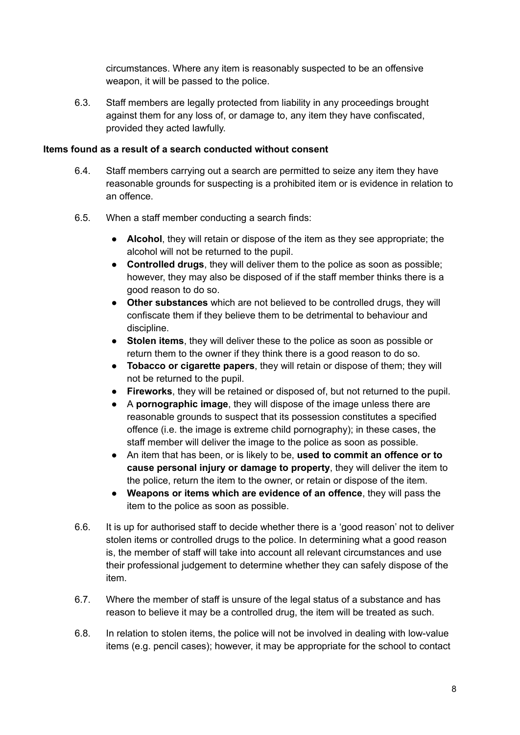circumstances. Where any item is reasonably suspected to be an offensive weapon, it will be passed to the police.

6.3. Staff members are legally protected from liability in any proceedings brought against them for any loss of, or damage to, any item they have confiscated, provided they acted lawfully.

## **Items found as a result of a search conducted without consent**

- 6.4. Staff members carrying out a search are permitted to seize any item they have reasonable grounds for suspecting is a prohibited item or is evidence in relation to an offence.
- 6.5. When a staff member conducting a search finds:
	- **Alcohol**, they will retain or dispose of the item as they see appropriate; the alcohol will not be returned to the pupil.
	- **Controlled drugs**, they will deliver them to the police as soon as possible; however, they may also be disposed of if the staff member thinks there is a good reason to do so.
	- **Other substances** which are not believed to be controlled drugs, they will confiscate them if they believe them to be detrimental to behaviour and discipline.
	- **Stolen items**, they will deliver these to the police as soon as possible or return them to the owner if they think there is a good reason to do so.
	- **Tobacco or cigarette papers**, they will retain or dispose of them; they will not be returned to the pupil.
	- **Fireworks**, they will be retained or disposed of, but not returned to the pupil.
	- A **pornographic image**, they will dispose of the image unless there are reasonable grounds to suspect that its possession constitutes a specified offence (i.e. the image is extreme child pornography); in these cases, the staff member will deliver the image to the police as soon as possible.
	- An item that has been, or is likely to be, **used to commit an offence or to cause personal injury or damage to property**, they will deliver the item to the police, return the item to the owner, or retain or dispose of the item.
	- **Weapons or items which are evidence of an offence**, they will pass the item to the police as soon as possible.
- 6.6. It is up for authorised staff to decide whether there is a 'good reason' not to deliver stolen items or controlled drugs to the police. In determining what a good reason is, the member of staff will take into account all relevant circumstances and use their professional judgement to determine whether they can safely dispose of the item.
- 6.7. Where the member of staff is unsure of the legal status of a substance and has reason to believe it may be a controlled drug, the item will be treated as such.
- 6.8. In relation to stolen items, the police will not be involved in dealing with low-value items (e.g. pencil cases); however, it may be appropriate for the school to contact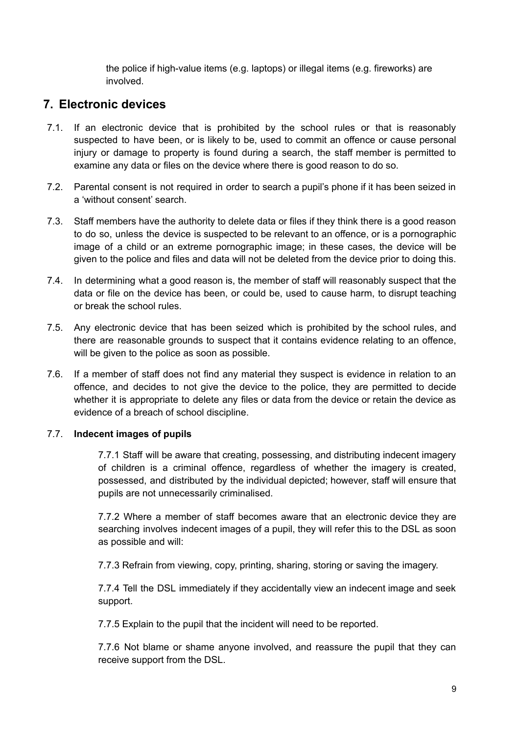the police if high-value items (e.g. laptops) or illegal items (e.g. fireworks) are involved.

# <span id="page-9-0"></span>**7. Electronic devices**

- 7.1. If an electronic device that is prohibited by the school rules or that is reasonably suspected to have been, or is likely to be, used to commit an offence or cause personal injury or damage to property is found during a search, the staff member is permitted to examine any data or files on the device where there is good reason to do so.
- 7.2. Parental consent is not required in order to search a pupil's phone if it has been seized in a 'without consent' search.
- 7.3. Staff members have the authority to delete data or files if they think there is a good reason to do so, unless the device is suspected to be relevant to an offence, or is a pornographic image of a child or an extreme pornographic image; in these cases, the device will be given to the police and files and data will not be deleted from the device prior to doing this.
- 7.4. In determining what a good reason is, the member of staff will reasonably suspect that the data or file on the device has been, or could be, used to cause harm, to disrupt teaching or break the school rules.
- 7.5. Any electronic device that has been seized which is prohibited by the school rules, and there are reasonable grounds to suspect that it contains evidence relating to an offence, will be given to the police as soon as possible.
- 7.6. If a member of staff does not find any material they suspect is evidence in relation to an offence, and decides to not give the device to the police, they are permitted to decide whether it is appropriate to delete any files or data from the device or retain the device as evidence of a breach of school discipline.

## 7.7. **Indecent images of pupils**

7.7.1 Staff will be aware that creating, possessing, and distributing indecent imagery of children is a criminal offence, regardless of whether the imagery is created, possessed, and distributed by the individual depicted; however, staff will ensure that pupils are not unnecessarily criminalised.

7.7.2 Where a member of staff becomes aware that an electronic device they are searching involves indecent images of a pupil, they will refer this to the DSL as soon as possible and will:

7.7.3 Refrain from viewing, copy, printing, sharing, storing or saving the imagery.

7.7.4 Tell the DSL immediately if they accidentally view an indecent image and seek support.

7.7.5 Explain to the pupil that the incident will need to be reported.

7.7.6 Not blame or shame anyone involved, and reassure the pupil that they can receive support from the DSL.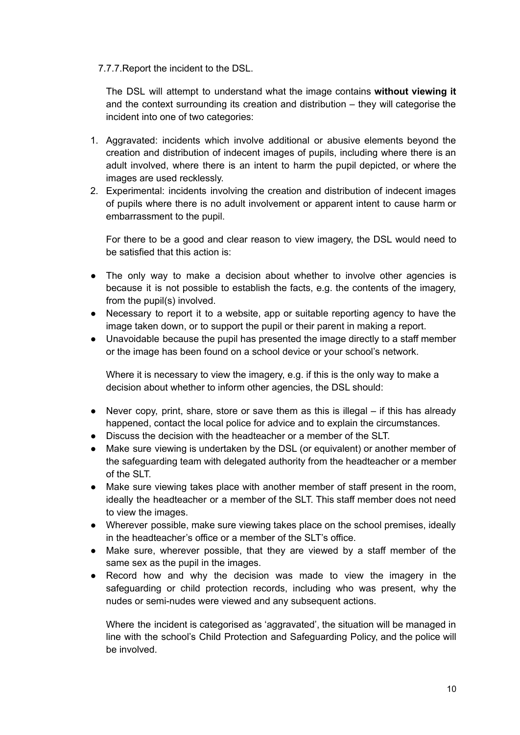## 7.7.7.Report the incident to the DSL.

The DSL will attempt to understand what the image contains **without viewing it** and the context surrounding its creation and distribution – they will categorise the incident into one of two categories:

- 1. Aggravated: incidents which involve additional or abusive elements beyond the creation and distribution of indecent images of pupils, including where there is an adult involved, where there is an intent to harm the pupil depicted, or where the images are used recklessly.
- 2. Experimental: incidents involving the creation and distribution of indecent images of pupils where there is no adult involvement or apparent intent to cause harm or embarrassment to the pupil.

For there to be a good and clear reason to view imagery, the DSL would need to be satisfied that this action is:

- The only way to make a decision about whether to involve other agencies is because it is not possible to establish the facts, e.g. the contents of the imagery, from the pupil(s) involved.
- Necessary to report it to a website, app or suitable reporting agency to have the image taken down, or to support the pupil or their parent in making a report.
- Unavoidable because the pupil has presented the image directly to a staff member or the image has been found on a school device or your school's network.

Where it is necessary to view the imagery, e.g. if this is the only way to make a decision about whether to inform other agencies, the DSL should:

- $\bullet$  Never copy, print, share, store or save them as this is illegal if this has already happened, contact the local police for advice and to explain the circumstances.
- Discuss the decision with the headteacher or a member of the SLT.
- Make sure viewing is undertaken by the DSL (or equivalent) or another member of the safeguarding team with delegated authority from the headteacher or a member of the SLT.
- Make sure viewing takes place with another member of staff present in the room, ideally the headteacher or a member of the SLT. This staff member does not need to view the images.
- Wherever possible, make sure viewing takes place on the school premises, ideally in the headteacher's office or a member of the SLT's office.
- Make sure, wherever possible, that they are viewed by a staff member of the same sex as the pupil in the images.
- Record how and why the decision was made to view the imagery in the safeguarding or child protection records, including who was present, why the nudes or semi-nudes were viewed and any subsequent actions.

Where the incident is categorised as 'aggravated', the situation will be managed in line with the school's Child Protection and Safeguarding Policy, and the police will be involved.